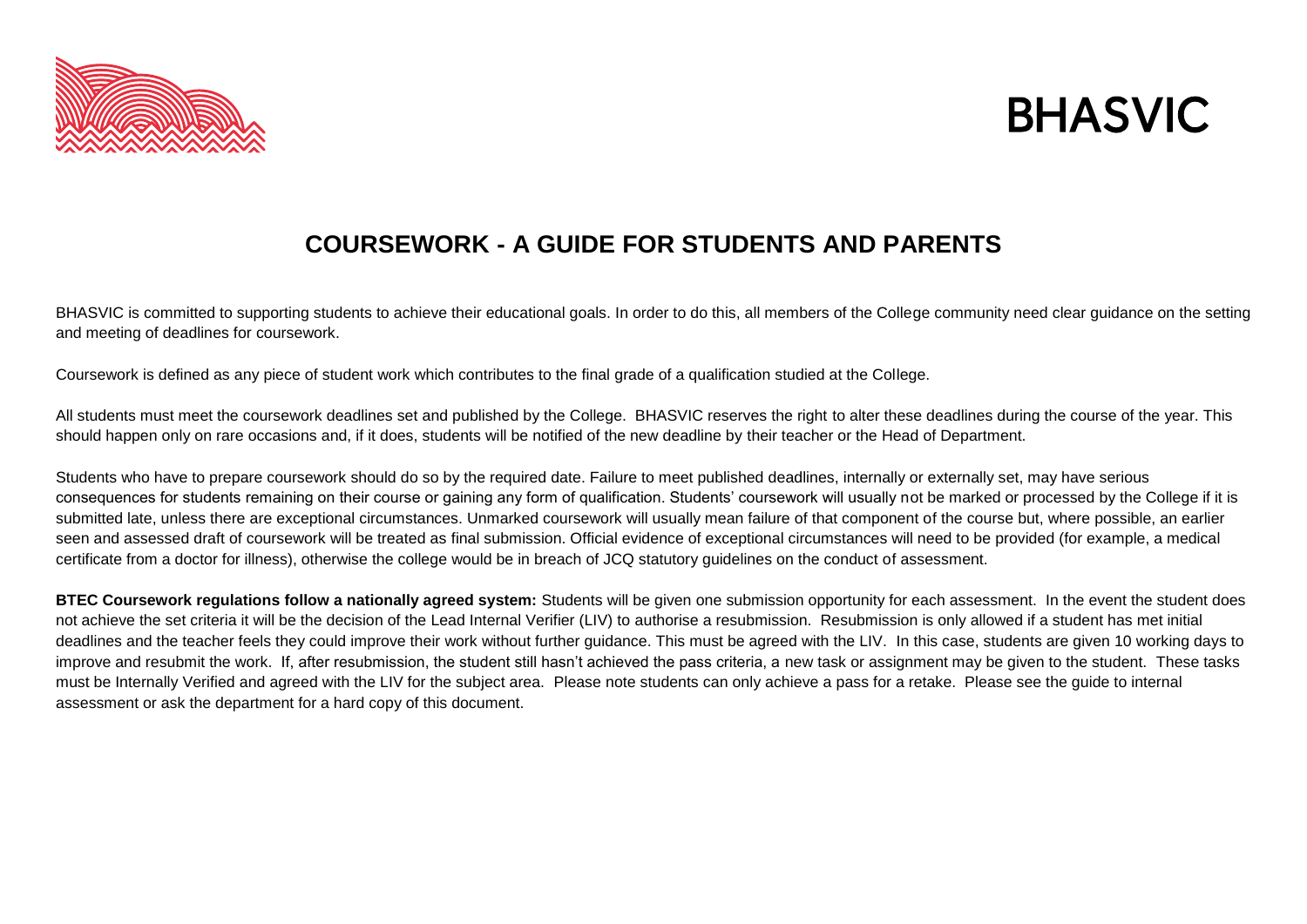



## **COURSEWORK - A GUIDE FOR STUDENTS AND PARENTS**

BHASVIC is committed to supporting students to achieve their educational goals. In order to do this, all members of the College community need clear guidance on the setting and meeting of deadlines for coursework.

Coursework is defined as any piece of student work which contributes to the final grade of a qualification studied at the College.

All students must meet the coursework deadlines set and published by the College. BHASVIC reserves the right to alter these deadlines during the course of the year. This should happen only on rare occasions and, if it does, students will be notified of the new deadline by their teacher or the Head of Department.

Students who have to prepare coursework should do so by the required date. Failure to meet published deadlines, internally or externally set, may have serious consequences for students remaining on their course or gaining any form of qualification. Students' coursework will usually not be marked or processed by the College if it is submitted late, unless there are exceptional circumstances. Unmarked coursework will usually mean failure of that component of the course but, where possible, an earlier seen and assessed draft of coursework will be treated as final submission. Official evidence of exceptional circumstances will need to be provided (for example, a medical certificate from a doctor for illness), otherwise the college would be in breach of JCQ statutory guidelines on the conduct of assessment.

**BTEC Coursework regulations follow a nationally agreed system:** Students will be given one submission opportunity for each assessment. In the event the student does not achieve the set criteria it will be the decision of the Lead Internal Verifier (LIV) to authorise a resubmission. Resubmission is only allowed if a student has met initial deadlines and the teacher feels they could improve their work without further guidance. This must be agreed with the LIV. In this case, students are given 10 working days to improve and resubmit the work. If, after resubmission, the student still hasn't achieved the pass criteria, a new task or assignment may be given to the student. These tasks must be Internally Verified and agreed with the LIV for the subject area. Please note students can only achieve a pass for a retake. Please see the guide to internal assessment or ask the department for a hard copy of this document.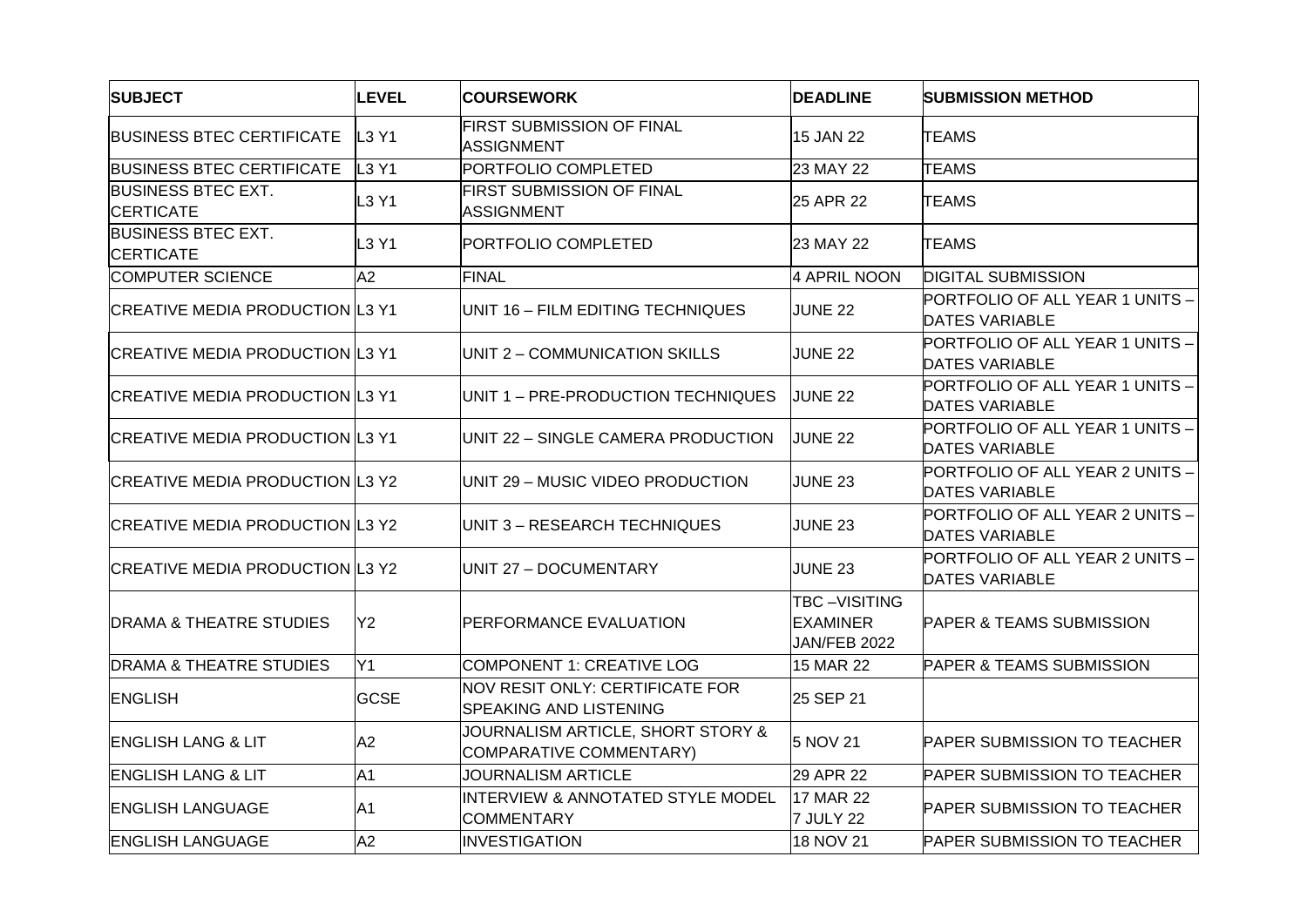| <b>SUBJECT</b>                                | <b>LEVEL</b>   | <b>COURSEWORK</b>                                                | <b>DEADLINE</b>                                        | <b>SUBMISSION METHOD</b>                                 |
|-----------------------------------------------|----------------|------------------------------------------------------------------|--------------------------------------------------------|----------------------------------------------------------|
| <b>BUSINESS BTEC CERTIFICATE</b>              | L3 Y1          | <b>FIRST SUBMISSION OF FINAL</b><br><b>ASSIGNMENT</b>            | 15 JAN 22                                              | <b>TEAMS</b>                                             |
| <b>BUSINESS BTEC CERTIFICATE</b>              | L3 Y1          | PORTFOLIO COMPLETED                                              | 23 MAY 22                                              | <b>TEAMS</b>                                             |
| <b>BUSINESS BTEC EXT.</b><br><b>CERTICATE</b> | L3 Y1          | <b>FIRST SUBMISSION OF FINAL</b><br><b>ASSIGNMENT</b>            | 25 APR 22                                              | <b>TEAMS</b>                                             |
| <b>BUSINESS BTEC EXT.</b><br><b>CERTICATE</b> | L3 Y1          | PORTFOLIO COMPLETED                                              | 23 MAY 22                                              | <b>TEAMS</b>                                             |
| <b>COMPUTER SCIENCE</b>                       | A2             | <b>FINAL</b>                                                     | 4 APRIL NOON                                           | <b>DIGITAL SUBMISSION</b>                                |
| <b>CREATIVE MEDIA PRODUCTION L3 Y1</b>        |                | UNIT 16 - FILM EDITING TECHNIQUES                                | <b>JUNE 22</b>                                         | PORTFOLIO OF ALL YEAR 1 UNITS -<br><b>DATES VARIABLE</b> |
| <b>CREATIVE MEDIA PRODUCTION L3 Y1</b>        |                | UNIT 2 - COMMUNICATION SKILLS                                    | <b>JUNE 22</b>                                         | PORTFOLIO OF ALL YEAR 1 UNITS -<br><b>DATES VARIABLE</b> |
| <b>CREATIVE MEDIA PRODUCTION L3 Y1</b>        |                | UNIT 1 - PRE-PRODUCTION TECHNIQUES                               | <b>JUNE 22</b>                                         | PORTFOLIO OF ALL YEAR 1 UNITS -<br><b>DATES VARIABLE</b> |
| <b>CREATIVE MEDIA PRODUCTION L3 Y1</b>        |                | UNIT 22 - SINGLE CAMERA PRODUCTION                               | <b>JUNE 22</b>                                         | PORTFOLIO OF ALL YEAR 1 UNITS -<br><b>DATES VARIABLE</b> |
| <b>CREATIVE MEDIA PRODUCTION L3 Y2</b>        |                | UNIT 29 - MUSIC VIDEO PRODUCTION                                 | <b>JUNE 23</b>                                         | PORTFOLIO OF ALL YEAR 2 UNITS -<br><b>DATES VARIABLE</b> |
| <b>CREATIVE MEDIA PRODUCTION L3 Y2</b>        |                | UNIT 3 - RESEARCH TECHNIQUES                                     | <b>JUNE 23</b>                                         | PORTFOLIO OF ALL YEAR 2 UNITS -<br><b>DATES VARIABLE</b> |
| <b>CREATIVE MEDIA PRODUCTION L3 Y2</b>        |                | UNIT 27 - DOCUMENTARY                                            | <b>JUNE 23</b>                                         | PORTFOLIO OF ALL YEAR 2 UNITS -<br><b>DATES VARIABLE</b> |
| DRAMA & THEATRE STUDIES                       | Y2             | <b>PERFORMANCE EVALUATION</b>                                    | TBC-VISITING<br><b>EXAMINER</b><br><b>JAN/FEB 2022</b> | <b>PAPER &amp; TEAMS SUBMISSION</b>                      |
| <b>DRAMA &amp; THEATRE STUDIES</b>            | Y1             | COMPONENT 1: CREATIVE LOG                                        | 15 MAR 22                                              | PAPER & TEAMS SUBMISSION                                 |
| <b>ENGLISH</b>                                | <b>GCSE</b>    | NOV RESIT ONLY: CERTIFICATE FOR<br><b>SPEAKING AND LISTENING</b> | 25 SEP 21                                              |                                                          |
| <b>ENGLISH LANG &amp; LIT</b>                 | A2             | JOURNALISM ARTICLE, SHORT STORY &<br>COMPARATIVE COMMENTARY)     | 5 NOV 21                                               | <b>PAPER SUBMISSION TO TEACHER</b>                       |
| <b>ENGLISH LANG &amp; LIT</b>                 | A <sub>1</sub> | <b>JOURNALISM ARTICLE</b>                                        | 29 APR 22                                              | <b>PAPER SUBMISSION TO TEACHER</b>                       |
| <b>ENGLISH LANGUAGE</b>                       | A <sub>1</sub> | INTERVIEW & ANNOTATED STYLE MODEL<br><b>COMMENTARY</b>           | 17 MAR 22<br>7 JULY 22                                 | <b>PAPER SUBMISSION TO TEACHER</b>                       |
| <b>ENGLISH LANGUAGE</b>                       | A2             | <b>INVESTIGATION</b>                                             | 18 NOV 21                                              | <b>PAPER SUBMISSION TO TEACHER</b>                       |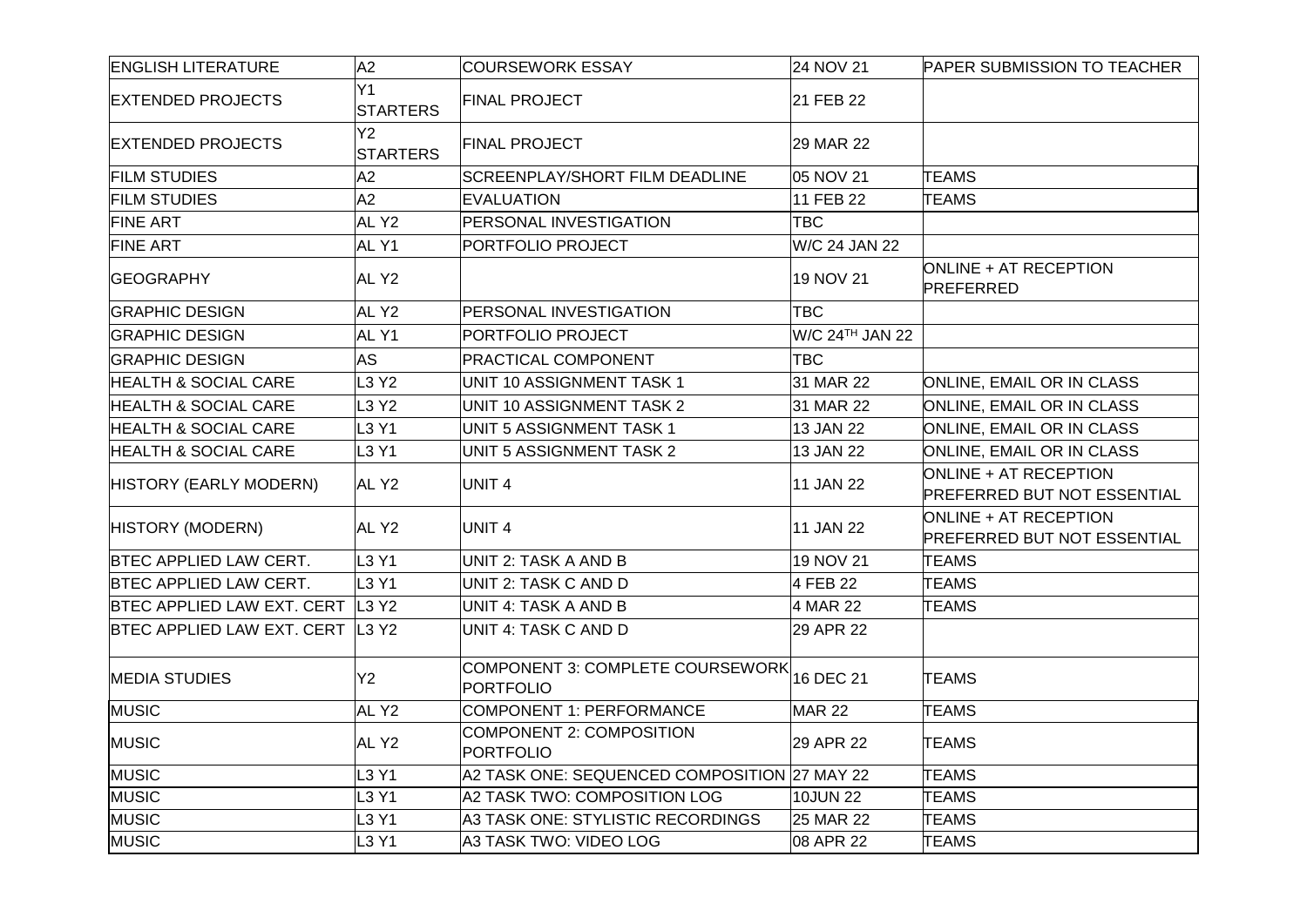| <b>ENGLISH LITERATURE</b>          | A2                            | <b>COURSEWORK ESSAY</b>                              | 24 NOV 21       | <b>PAPER SUBMISSION TO TEACHER</b>                          |
|------------------------------------|-------------------------------|------------------------------------------------------|-----------------|-------------------------------------------------------------|
| <b>EXTENDED PROJECTS</b>           | Y1<br><b>STARTERS</b>         | <b>FINAL PROJECT</b>                                 | 21 FEB 22       |                                                             |
| <b>EXTENDED PROJECTS</b>           | Y2<br><b>STARTERS</b>         | <b>FINAL PROJECT</b>                                 | 29 MAR 22       |                                                             |
| <b>FILM STUDIES</b>                | A2                            | <b>SCREENPLAY/SHORT FILM DEADLINE</b>                | 05 NOV 21       | <b>TEAMS</b>                                                |
| <b>FILM STUDIES</b>                | A2                            | <b>EVALUATION</b>                                    | 11 FEB 22       | <b>TEAMS</b>                                                |
| <b>FINE ART</b>                    | AL Y <sub>2</sub>             | <b>PERSONAL INVESTIGATION</b>                        | <b>TBC</b>      |                                                             |
| <b>FINE ART</b>                    | ALY1                          | <b>PORTFOLIO PROJECT</b>                             | W/C 24 JAN 22   |                                                             |
| <b>GEOGRAPHY</b>                   | AL Y <sub>2</sub>             |                                                      | 19 NOV 21       | ONLINE + AT RECEPTION<br>PREFERRED                          |
| <b>GRAPHIC DESIGN</b>              | AL Y2                         | <b>PERSONAL INVESTIGATION</b>                        | <b>TBC</b>      |                                                             |
| <b>GRAPHIC DESIGN</b>              | AL Y1                         | <b>PORTFOLIO PROJECT</b>                             | W/C 24TH JAN 22 |                                                             |
| <b>GRAPHIC DESIGN</b>              | <b>AS</b>                     | <b>PRACTICAL COMPONENT</b>                           | <b>TBC</b>      |                                                             |
| <b>HEALTH &amp; SOCIAL CARE</b>    | L3 Y2                         | UNIT 10 ASSIGNMENT TASK 1                            | 31 MAR 22       | <b>ONLINE, EMAIL OR IN CLASS</b>                            |
| <b>HEALTH &amp; SOCIAL CARE</b>    | L3 Y2                         | UNIT 10 ASSIGNMENT TASK 2                            | 31 MAR 22       | <b>ONLINE, EMAIL OR IN CLASS</b>                            |
| <b>HEALTH &amp; SOCIAL CARE</b>    | L3 Y1                         | UNIT 5 ASSIGNMENT TASK 1                             | 13 JAN 22       | <b>ONLINE, EMAIL OR IN CLASS</b>                            |
| <b>HEALTH &amp; SOCIAL CARE</b>    | L3 Y1                         | UNIT 5 ASSIGNMENT TASK 2                             | 13 JAN 22       | ONLINE, EMAIL OR IN CLASS                                   |
| HISTORY (EARLY MODERN)             | AL Y2                         | UNIT <sub>4</sub>                                    | 11 JAN 22       | ONLINE + AT RECEPTION<br><b>PREFERRED BUT NOT ESSENTIAL</b> |
| HISTORY (MODERN)                   | AL Y2                         | UNIT 4                                               | 11 JAN 22       | ONLINE + AT RECEPTION<br><b>PREFERRED BUT NOT ESSENTIAL</b> |
| <b>BTEC APPLIED LAW CERT.</b>      | L <sub>3</sub> Y <sub>1</sub> | UNIT 2: TASK A AND B                                 | 19 NOV 21       | <b>TEAMS</b>                                                |
| <b>BTEC APPLIED LAW CERT.</b>      | L <sub>3</sub> Y <sub>1</sub> | UNIT 2: TASK C AND D                                 | 4 FEB 22        | <b>TEAMS</b>                                                |
| BTEC APPLIED LAW EXT. CERT   L3 Y2 |                               | UNIT 4: TASK A AND B                                 | 4 MAR 22        | <b>TEAMS</b>                                                |
| BTEC APPLIED LAW EXT. CERT L3 Y2   |                               | UNIT 4: TASK C AND D                                 | 29 APR 22       |                                                             |
| <b>MEDIA STUDIES</b>               | Y2                            | COMPONENT 3: COMPLETE COURSEWORK<br><b>PORTFOLIO</b> | 16 DEC 21       | <b>TEAMS</b>                                                |
| <b>MUSIC</b>                       | AL Y <sub>2</sub>             | COMPONENT 1: PERFORMANCE                             | <b>MAR 22</b>   | <b>TEAMS</b>                                                |
| <b>MUSIC</b>                       | AL Y <sub>2</sub>             | COMPONENT 2: COMPOSITION<br><b>PORTFOLIO</b>         | 29 APR 22       | <b>TEAMS</b>                                                |
| <b>MUSIC</b>                       | L3 Y1                         | A2 TASK ONE: SEQUENCED COMPOSITION 27 MAY 22         |                 | <b>TEAMS</b>                                                |
| <b>MUSIC</b>                       | L3 Y1                         | A2 TASK TWO: COMPOSITION LOG                         | 10JUN 22        | <b>TEAMS</b>                                                |
| <b>MUSIC</b>                       | L3 Y1                         | A3 TASK ONE: STYLISTIC RECORDINGS                    | 25 MAR 22       | <b>TEAMS</b>                                                |
| <b>MUSIC</b>                       | L3 Y1                         | A3 TASK TWO: VIDEO LOG                               | 08 APR 22       | <b>TEAMS</b>                                                |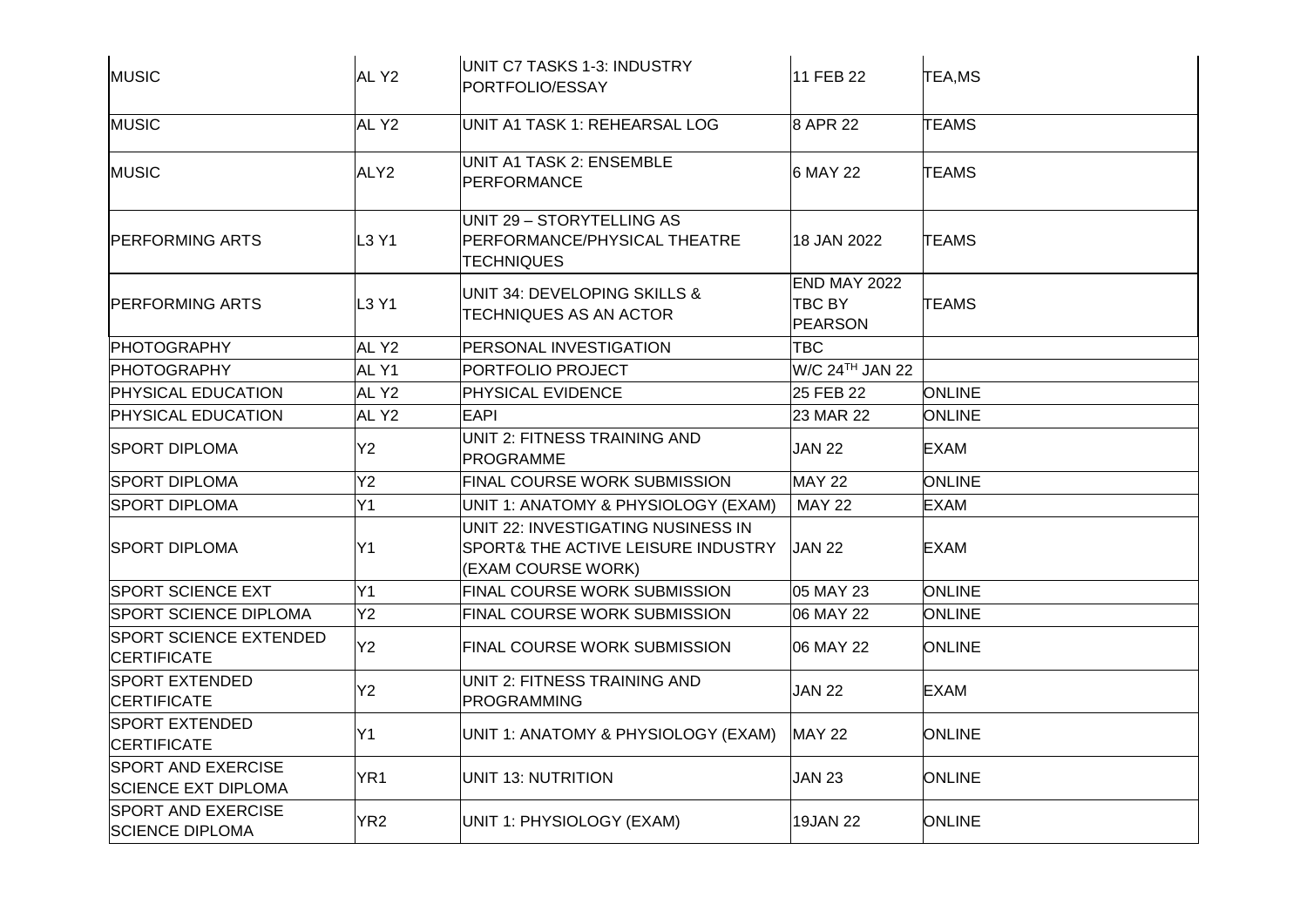| MUSIC                                                   | AL Y <sub>2</sub> | UNIT C7 TASKS 1-3: INDUSTRY<br>PORTFOLIO/ESSAY                                                            | 11 FEB 22                                       | <b>TEA,MS</b> |
|---------------------------------------------------------|-------------------|-----------------------------------------------------------------------------------------------------------|-------------------------------------------------|---------------|
| MUSIC                                                   | AL Y2             | UNIT A1 TASK 1: REHEARSAL LOG                                                                             | 8 APR 22                                        | <b>TEAMS</b>  |
| <b>MUSIC</b>                                            | ALY <sub>2</sub>  | <b>UNIT A1 TASK 2: ENSEMBLE</b><br>PERFORMANCE                                                            | 6 MAY 22                                        | <b>TEAMS</b>  |
| <b>IPERFORMING ARTS</b>                                 | L3 Y1             | UNIT 29 - STORYTELLING AS<br>PERFORMANCE/PHYSICAL THEATRE<br>TECHNIQUES                                   | 18 JAN 2022                                     | <b>TEAMS</b>  |
| <b>IPERFORMING ARTS</b>                                 | L3 Y1             | UNIT 34: DEVELOPING SKILLS &<br>TECHNIQUES AS AN ACTOR                                                    | <b>END MAY 2022</b><br>TBC BY<br><b>PEARSON</b> | TEAMS         |
| <b>PHOTOGRAPHY</b>                                      | AL Y <sub>2</sub> | PERSONAL INVESTIGATION                                                                                    | TBC                                             |               |
| <b>PHOTOGRAPHY</b>                                      | AL Y1             | PORTFOLIO PROJECT                                                                                         | W/C 24TH JAN 22                                 |               |
| <b>PHYSICAL EDUCATION</b>                               | AL Y2             | <b>PHYSICAL EVIDENCE</b>                                                                                  | 25 FEB 22                                       | <b>ONLINE</b> |
| <b>PHYSICAL EDUCATION</b>                               | AL Y2             | <b>EAPI</b>                                                                                               | 23 MAR 22                                       | <b>ONLINE</b> |
| <b>SPORT DIPLOMA</b>                                    | Y2                | UNIT 2: FITNESS TRAINING AND<br><b>PROGRAMME</b>                                                          | <b>JAN 22</b>                                   | <b>EXAM</b>   |
| <b>SPORT DIPLOMA</b>                                    | Y2                | <b>FINAL COURSE WORK SUBMISSION</b>                                                                       | <b>MAY 22</b>                                   | <b>ONLINE</b> |
| <b>SPORT DIPLOMA</b>                                    | Y1                | UNIT 1: ANATOMY & PHYSIOLOGY (EXAM)                                                                       | <b>MAY 22</b>                                   | <b>EXAM</b>   |
| <b>SPORT DIPLOMA</b>                                    | Y1                | UNIT 22: INVESTIGATING NUSINESS IN<br><b>SPORT&amp; THE ACTIVE LEISURE INDUSTRY</b><br>(EXAM COURSE WORK) | <b>JAN 22</b>                                   | <b>EXAM</b>   |
| <b>SPORT SCIENCE EXT</b>                                | Y1                | <b>FINAL COURSE WORK SUBMISSION</b>                                                                       | 05 MAY 23                                       | <b>ONLINE</b> |
| <b>SPORT SCIENCE DIPLOMA</b>                            | Y2                | FINAL COURSE WORK SUBMISSION                                                                              | 06 MAY 22                                       | <b>ONLINE</b> |
| <b>SPORT SCIENCE EXTENDED</b><br>CERTIFICATE            | Y2                | <b>FINAL COURSE WORK SUBMISSION</b>                                                                       | 06 MAY 22                                       | <b>ONLINE</b> |
| <b>SPORT EXTENDED</b><br><b>CERTIFICATE</b>             | Y2                | UNIT 2: FITNESS TRAINING AND<br><b>PROGRAMMING</b>                                                        | <b>JAN 22</b>                                   | <b>EXAM</b>   |
| <b>SPORT EXTENDED</b><br><b>CERTIFICATE</b>             | Y1                | UNIT 1: ANATOMY & PHYSIOLOGY (EXAM)                                                                       | <b>MAY 22</b>                                   | <b>ONLINE</b> |
| <b>SPORT AND EXERCISE</b><br><b>SCIENCE EXT DIPLOMA</b> | YR <sub>1</sub>   | UNIT 13: NUTRITION                                                                                        | <b>JAN 23</b>                                   | <b>ONLINE</b> |
| <b>SPORT AND EXERCISE</b><br><b>SCIENCE DIPLOMA</b>     | YR <sub>2</sub>   | UNIT 1: PHYSIOLOGY (EXAM)                                                                                 | <b>19JAN 22</b>                                 | <b>ONLINE</b> |